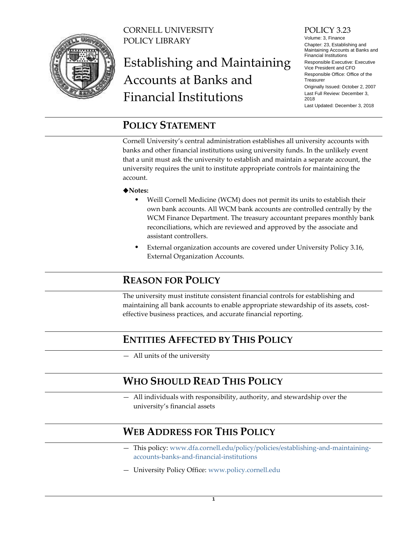

CORNELL UNIVERSITY POLICY LIBRARY

# Establishing and Maintaining Accounts at Banks and Financial Institutions

#### POLICY 3.23

Volume: 3, Finance Chapter: 23, Establishing and Maintaining Accounts at Banks and Financial Institutions Responsible Executive: Executive Vice President and CFO Responsible Office: Office of the **Treasurer** Originally Issued: October 2, 2007

Last Full Review: December 3, 2018 Last Updated: December 3, 2018

## <span id="page-0-0"></span>**POLICY STATEMENT**

Cornell University's central administration establishes all university accounts with banks and other financial institutions using university funds. In the unlikely event that a unit must ask the university to establish and maintain a separate account, the university requires the unit to institute appropriate controls for maintaining the account.

#### ◆Notes:

- Weill Cornell Medicine (WCM) does not permit its units to establish their own bank accounts. All WCM bank accounts are controlled centrally by the WCM Finance Department. The treasury accountant prepares monthly bank reconciliations, which are reviewed and approved by the associate and assistant controllers.
- External organization accounts are covered under University Policy 3.16, External Organization Accounts.

## <span id="page-0-1"></span>**REASON FOR POLICY**

The university must institute consistent financial controls for establishing and maintaining all bank accounts to enable appropriate stewardship of its assets, costeffective business practices, and accurate financial reporting.

# <span id="page-0-2"></span>**ENTITIES AFFECTED BY THIS POLICY**

— All units of the university

## <span id="page-0-3"></span>**WHO SHOULD READ THIS POLICY**

— All individuals with responsibility, authority, and stewardship over the university's financial assets

# <span id="page-0-4"></span>**WEB ADDRESS FOR THIS POLICY**

- This policy: [www.dfa.cornell.edu/policy/policies/establishing-and-maintaining](https://www.dfa.cornell.edu/policy/policies/establishing-and-maintaining-accounts-banks-and-financial-institutions)[accounts-banks-and-financial-institutions](https://www.dfa.cornell.edu/policy/policies/establishing-and-maintaining-accounts-banks-and-financial-institutions)
- University Policy Office: [www.policy.cornell.edu](http://www.policy.cornell.edu/)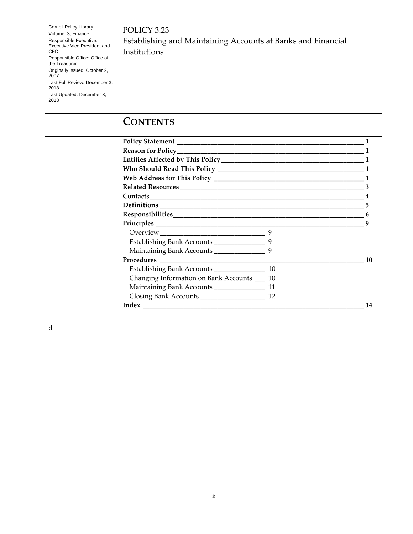POLICY 3.23

Cornell Policy Library Volume: 3, Finance Responsible Executive: Executive Vice President and CFO Responsible Office: Office of the Treasurer Originally Issued: October 2, 2007 Last Full Review: December 3, 2018 Last Updated: December 3, 2018

Establishing and Maintaining Accounts at Banks and Financial Institutions

# **CONTENTS**

|                                                 |   | $\mathbf 1$ |
|-------------------------------------------------|---|-------------|
|                                                 |   |             |
|                                                 |   |             |
| Contacts                                        |   |             |
|                                                 |   | 5           |
|                                                 |   | 6           |
|                                                 |   | q           |
|                                                 | 9 |             |
| 9<br>Establishing Bank Accounts _______________ |   |             |
| Maintaining Bank Accounts __________________9   |   |             |
|                                                 |   | 10          |
|                                                 |   |             |
| Changing Information on Bank Accounts __ 10     |   |             |
|                                                 |   |             |
|                                                 |   |             |
|                                                 |   | 14          |
|                                                 |   |             |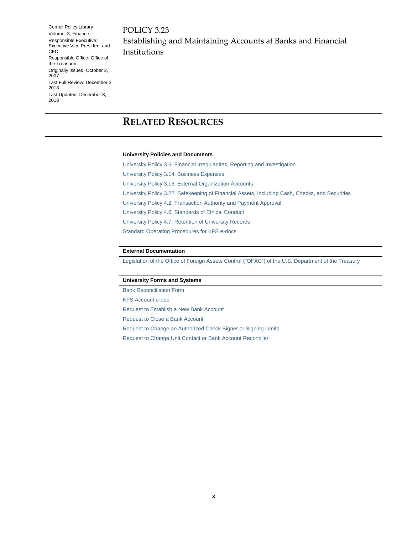POLICY 3.23 Establishing and Maintaining Accounts at Banks and Financial Institutions

# <span id="page-2-0"></span>**RELATED RESOURCES**

#### **University Policies and Documents**

[University Policy 3.6, Financial Irregularities, Reporting and Investigation](https://www.dfa.cornell.edu/policy/policies/financial-irregularities-reporting-and-investigation) [University Policy 3.14, Business Expenses](https://www.dfa.cornell.edu/policy/policies/business-expenses) [University Policy 3.16, External Organization Accounts](https://www.dfa.cornell.edu/policy/policies/external-organization-accounts) [University Policy 3.22, Safekeeping of Financial Assets, Including Cash, Checks, and Securities](https://www.dfa.cornell.edu/policy/policies/safekeeping-financial-assets-including-cash-checks-and-securities) [University Policy 4.2, Transaction Authority](https://www.dfa.cornell.edu/policy/policies/transaction-authority-and-payment-approval) and Payment Approval [University Policy 4.6, Standards of Ethical Conduct](https://www.dfa.cornell.edu/policy/policies/standards-ethical-conduct) [University Policy 4.7, Retention of University Records](https://www.dfa.cornell.edu/policy/policies/retention-university-records) [Standard Operating Procedures for KFS e-docs](https://www.dfa.cornell.edu/fis/guides/kfs/)

#### **External Documentation**

[Legislation of the Office of Foreign Assets Control](http://www.treasury.gov/resource-center/sanctions/Programs/Pages/Programs.aspx) ("OFAC") of the U.S. Department of the Treasury

#### **University Forms and Systems**

[Bank Reconciliation Form](https://www.dfa.cornell.edu/treasurer/cash-management/forms) [KFS Account e-doc](https://www.dfa.cornell.edu/fis/guides/kfs/setup) [Request to Establish a New Bank Account](https://www.dfa.cornell.edu/treasurer/cash-management/forms) [Request to Close a Bank Account](https://www.dfa.cornell.edu/treasurer/cash-management/forms) [Request to Change an Authorized Check Signer or Signing Limits](https://www.dfa.cornell.edu/treasurer/cash-management/forms) [Request to Change Unit Contact or Bank Account Reconciler](https://www.dfa.cornell.edu/treasurer/cash-management/forms)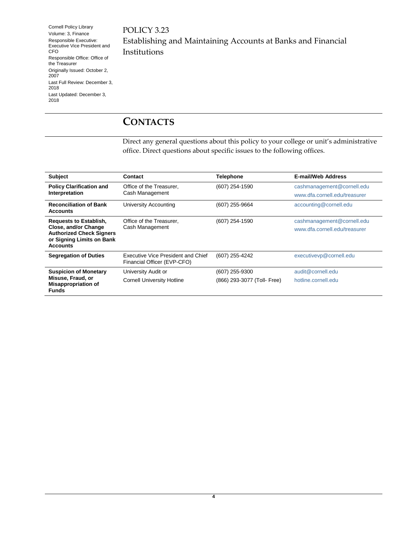POLICY 3.23 Establishing and Maintaining Accounts at Banks and Financial Institutions

## <span id="page-3-0"></span>**CONTACTS**

Direct any general questions about this policy to your college or unit's administrative office. Direct questions about specific issues to the following offices.

| <b>Subject</b>                                                                                                                           | Contact                                                           | <b>Telephone</b>            | <b>E-mail/Web Address</b>     |
|------------------------------------------------------------------------------------------------------------------------------------------|-------------------------------------------------------------------|-----------------------------|-------------------------------|
| <b>Policy Clarification and</b><br>Interpretation                                                                                        | Office of the Treasurer,<br>Cash Management                       | (607) 254-1590              | cashmanagement@cornell.edu    |
|                                                                                                                                          |                                                                   |                             | www.dfa.cornell.edu/treasurer |
| <b>Reconciliation of Bank</b><br><b>Accounts</b>                                                                                         | <b>University Accounting</b>                                      | (607) 255-9664              | accounting@cornell.edu        |
| <b>Requests to Establish,</b><br>Close, and/or Change<br><b>Authorized Check Signers</b><br>or Signing Limits on Bank<br><b>Accounts</b> | Office of the Treasurer,                                          | (607) 254-1590              | cashmanagement@cornell.edu    |
|                                                                                                                                          | Cash Management                                                   |                             | www.dfa.cornell.edu/treasurer |
|                                                                                                                                          |                                                                   |                             |                               |
| <b>Segregation of Duties</b>                                                                                                             | Executive Vice President and Chief<br>Financial Officer (EVP-CFO) | (607) 255-4242              | executivevp@cornell.edu       |
| <b>Suspicion of Monetary</b><br>Misuse, Fraud, or<br><b>Misappropriation of</b><br><b>Funds</b>                                          | University Audit or                                               | (607) 255-9300              | audit@cornell.edu             |
|                                                                                                                                          | <b>Cornell University Hotline</b>                                 | (866) 293-3077 (Toll- Free) | hotline.cornell.edu           |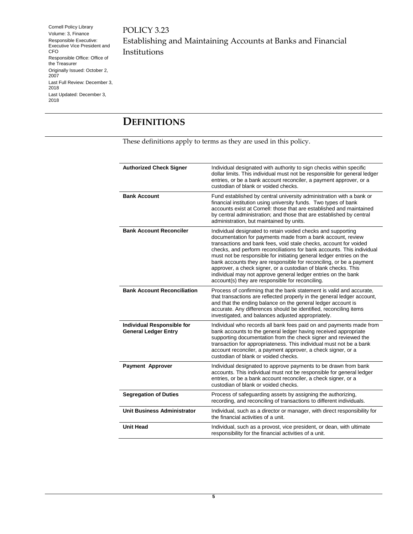POLICY 3.23 Establishing and Maintaining Accounts at Banks and Financial Institutions

# <span id="page-4-0"></span>**DEFINITIONS**

These definitions apply to terms as they are used in this policy.

| <b>Authorized Check Signer</b>                                   | Individual designated with authority to sign checks within specific<br>dollar limits. This individual must not be responsible for general ledger<br>entries, or be a bank account reconciler, a payment approver, or a<br>custodian of blank or voided checks.                                                                                                                                                                                                                                                                                                                                                   |
|------------------------------------------------------------------|------------------------------------------------------------------------------------------------------------------------------------------------------------------------------------------------------------------------------------------------------------------------------------------------------------------------------------------------------------------------------------------------------------------------------------------------------------------------------------------------------------------------------------------------------------------------------------------------------------------|
| <b>Bank Account</b>                                              | Fund established by central university administration with a bank or<br>financial institution using university funds. Two types of bank<br>accounts exist at Cornell: those that are established and maintained<br>by central administration; and those that are established by central<br>administration, but maintained by units.                                                                                                                                                                                                                                                                              |
| <b>Bank Account Reconciler</b>                                   | Individual designated to retain voided checks and supporting<br>documentation for payments made from a bank account, review<br>transactions and bank fees, void stale checks, account for voided<br>checks, and perform reconciliations for bank accounts. This individual<br>must not be responsible for initiating general ledger entries on the<br>bank accounts they are responsible for reconciling, or be a payment<br>approver, a check signer, or a custodian of blank checks. This<br>individual may not approve general ledger entries on the bank<br>account(s) they are responsible for reconciling. |
| <b>Bank Account Reconciliation</b>                               | Process of confirming that the bank statement is valid and accurate,<br>that transactions are reflected properly in the general ledger account,<br>and that the ending balance on the general ledger account is<br>accurate. Any differences should be identified, reconciling items<br>investigated, and balances adjusted appropriately.                                                                                                                                                                                                                                                                       |
| <b>Individual Responsible for</b><br><b>General Ledger Entry</b> | Individual who records all bank fees paid on and payments made from<br>bank accounts to the general ledger having received appropriate<br>supporting documentation from the check signer and reviewed the<br>transaction for appropriateness. This individual must not be a bank<br>account reconciler, a payment approver, a check signer, or a<br>custodian of blank or voided checks.                                                                                                                                                                                                                         |
| <b>Payment Approver</b>                                          | Individual designated to approve payments to be drawn from bank<br>accounts. This individual must not be responsible for general ledger<br>entries, or be a bank account reconciler, a check signer, or a<br>custodian of blank or voided checks.                                                                                                                                                                                                                                                                                                                                                                |
| <b>Segregation of Duties</b>                                     | Process of safeguarding assets by assigning the authorizing,<br>recording, and reconciling of transactions to different individuals.                                                                                                                                                                                                                                                                                                                                                                                                                                                                             |
| <b>Unit Business Administrator</b>                               | Individual, such as a director or manager, with direct responsibility for<br>the financial activities of a unit.                                                                                                                                                                                                                                                                                                                                                                                                                                                                                                 |
| <b>Unit Head</b>                                                 | Individual, such as a provost, vice president, or dean, with ultimate<br>responsibility for the financial activities of a unit.                                                                                                                                                                                                                                                                                                                                                                                                                                                                                  |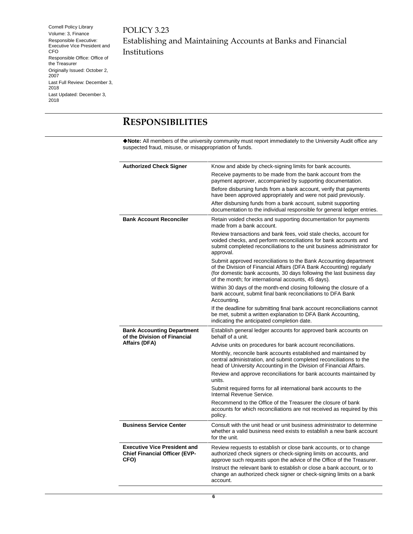POLICY 3.23 Establishing and Maintaining Accounts at Banks and Financial Institutions

## <span id="page-5-0"></span>**RESPONSIBILITIES**

**Note:** All members of the university community must report immediately to the University Audit office any suspected fraud, misuse, or misappropriation of funds.

| <b>Authorized Check Signer</b>                                                      | Know and abide by check-signing limits for bank accounts.                                                                                                                                                                                                                |
|-------------------------------------------------------------------------------------|--------------------------------------------------------------------------------------------------------------------------------------------------------------------------------------------------------------------------------------------------------------------------|
|                                                                                     | Receive payments to be made from the bank account from the<br>payment approver, accompanied by supporting documentation.                                                                                                                                                 |
|                                                                                     | Before disbursing funds from a bank account, verify that payments<br>have been approved appropriately and were not paid previously.                                                                                                                                      |
|                                                                                     | After disbursing funds from a bank account, submit supporting<br>documentation to the individual responsible for general ledger entries.                                                                                                                                 |
| <b>Bank Account Reconciler</b>                                                      | Retain voided checks and supporting documentation for payments<br>made from a bank account.                                                                                                                                                                              |
|                                                                                     | Review transactions and bank fees, void stale checks, account for<br>voided checks, and perform reconciliations for bank accounts and<br>submit completed reconciliations to the unit business administrator for<br>approval.                                            |
|                                                                                     | Submit approved reconciliations to the Bank Accounting department<br>of the Division of Financial Affairs (DFA Bank Accounting) regularly<br>(for domestic bank accounts, 30 days following the last business day<br>of the month; for international accounts, 45 days). |
|                                                                                     | Within 30 days of the month-end closing following the closure of a<br>bank account, submit final bank reconciliations to DFA Bank<br>Accounting.                                                                                                                         |
|                                                                                     | If the deadline for submitting final bank account reconciliations cannot<br>be met, submit a written explanation to DFA Bank Accounting,<br>indicating the anticipated completion date.                                                                                  |
| <b>Bank Accounting Department</b>                                                   |                                                                                                                                                                                                                                                                          |
| of the Division of Financial                                                        | Establish general ledger accounts for approved bank accounts on<br>behalf of a unit.                                                                                                                                                                                     |
| Affairs (DFA)                                                                       | Advise units on procedures for bank account reconciliations.                                                                                                                                                                                                             |
|                                                                                     | Monthly, reconcile bank accounts established and maintained by<br>central administration, and submit completed reconciliations to the<br>head of University Accounting in the Division of Financial Affairs.                                                             |
|                                                                                     | Review and approve reconciliations for bank accounts maintained by<br>units.                                                                                                                                                                                             |
|                                                                                     | Submit required forms for all international bank accounts to the<br>Internal Revenue Service.                                                                                                                                                                            |
|                                                                                     | Recommend to the Office of the Treasurer the closure of bank<br>accounts for which reconciliations are not received as required by this<br>policy.                                                                                                                       |
| <b>Business Service Center</b>                                                      | Consult with the unit head or unit business administrator to determine<br>whether a valid business need exists to establish a new bank account<br>for the unit.                                                                                                          |
| <b>Executive Vice President and</b><br><b>Chief Financial Officer (EVP-</b><br>CFO) | Review requests to establish or close bank accounts, or to change<br>authorized check signers or check-signing limits on accounts, and<br>approve such requests upon the advice of the Office of the Treasurer.                                                          |
|                                                                                     | Instruct the relevant bank to establish or close a bank account, or to<br>change an authorized check signer or check-signing limits on a bank<br>account.                                                                                                                |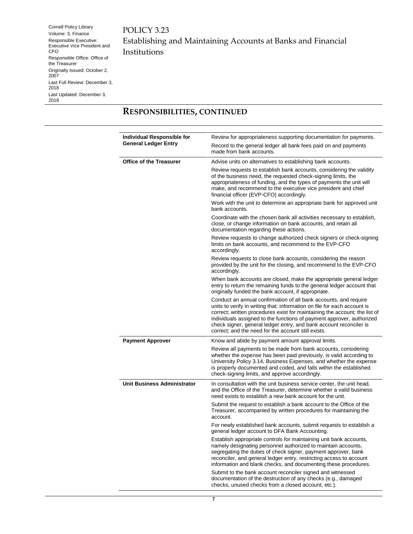POLICY 3.23 Establishing and Maintaining Accounts at Banks and Financial Institutions

#### **RESPONSIBILITIES, CONTINUED**

| Individual Responsible for         | Review for appropriateness supporting documentation for payments.                                                                                                                                                                                                                                                                                                                                                                |
|------------------------------------|----------------------------------------------------------------------------------------------------------------------------------------------------------------------------------------------------------------------------------------------------------------------------------------------------------------------------------------------------------------------------------------------------------------------------------|
| <b>General Ledger Entry</b>        | Record to the general ledger all bank fees paid on and payments<br>made from bank accounts.                                                                                                                                                                                                                                                                                                                                      |
| <b>Office of the Treasurer</b>     | Advise units on alternatives to establishing bank accounts.                                                                                                                                                                                                                                                                                                                                                                      |
|                                    | Review requests to establish bank accounts, considering the validity<br>of the business need, the requested check-signing limits, the<br>appropriateness of funding, and the types of payments the unit will<br>make, and recommend to the executive vice president and chief<br>financial officer (EVP-CFO) accordingly.                                                                                                        |
|                                    | Work with the unit to determine an appropriate bank for approved unit<br>bank accounts.                                                                                                                                                                                                                                                                                                                                          |
|                                    | Coordinate with the chosen bank all activities necessary to establish,<br>close, or change information on bank accounts, and retain all<br>documentation regarding these actions.                                                                                                                                                                                                                                                |
|                                    | Review requests to change authorized check signers or check-signing<br>limits on bank accounts, and recommend to the EVP-CFO<br>accordingly.                                                                                                                                                                                                                                                                                     |
|                                    | Review requests to close bank accounts, considering the reason<br>provided by the unit for the closing, and recommend to the EVP-CFO<br>accordingly.                                                                                                                                                                                                                                                                             |
|                                    | When bank accounts are closed, make the appropriate general ledger<br>entry to return the remaining funds to the general ledger account that<br>originally funded the bank account, if appropriate.                                                                                                                                                                                                                              |
|                                    | Conduct an annual confirmation of all bank accounts, and require<br>units to verify in writing that: information on file for each account is<br>correct; written procedures exist for maintaining the account; the list of<br>individuals assigned to the functions of payment approver, authorized<br>check signer, general ledger entry, and bank account reconciler is<br>correct; and the need for the account still exists. |
| <b>Payment Approver</b>            | Know and abide by payment amount approval limits.                                                                                                                                                                                                                                                                                                                                                                                |
|                                    | Review all payments to be made from bank accounts, considering<br>whether the expense has been paid previously, is valid according to<br>University Policy 3.14, Business Expenses, and whether the expense<br>is properly documented and coded, and falls within the established<br>check-signing limits, and approve accordingly.                                                                                              |
| <b>Unit Business Administrator</b> | In consultation with the unit business service center, the unit head,<br>and the Office of the Treasurer, determine whether a valid business<br>need exists to establish a new bank account for the unit.                                                                                                                                                                                                                        |
|                                    | Submit the request to establish a bank account to the Office of the<br>Treasurer, accompanied by written procedures for maintaining the<br>account.                                                                                                                                                                                                                                                                              |
|                                    | For newly established bank accounts, submit requests to establish a<br>general ledger account to DFA Bank Accounting.                                                                                                                                                                                                                                                                                                            |
|                                    | Establish appropriate controls for maintaining unit bank accounts,<br>namely designating personnel authorized to maintain accounts,<br>segregating the duties of check signer, payment approver, bank<br>reconciler, and general ledger entry, restricting access to account<br>information and blank checks, and documenting these procedures.                                                                                  |
|                                    | Submit to the bank account reconciler signed and witnessed<br>documentation of the destruction of any checks (e.g., damaged<br>checks, unused checks from a closed account, etc.).                                                                                                                                                                                                                                               |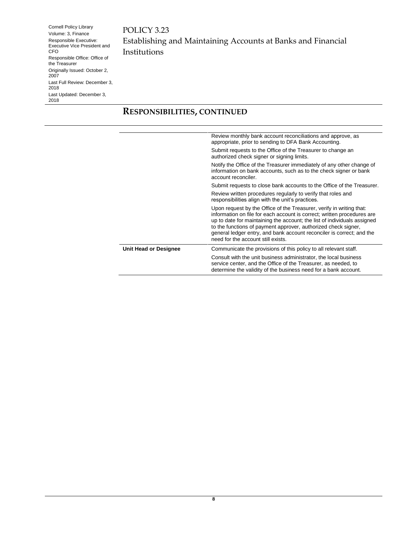POLICY 3.23 Establishing and Maintaining Accounts at Banks and Financial Institutions

#### **RESPONSIBILITIES, CONTINUED**

|                       | Review monthly bank account reconciliations and approve, as<br>appropriate, prior to sending to DFA Bank Accounting.                                                                                                                                                                                                                                                                                         |
|-----------------------|--------------------------------------------------------------------------------------------------------------------------------------------------------------------------------------------------------------------------------------------------------------------------------------------------------------------------------------------------------------------------------------------------------------|
|                       | Submit requests to the Office of the Treasurer to change an<br>authorized check signer or signing limits.                                                                                                                                                                                                                                                                                                    |
|                       | Notify the Office of the Treasurer immediately of any other change of<br>information on bank accounts, such as to the check signer or bank<br>account reconciler.                                                                                                                                                                                                                                            |
|                       | Submit requests to close bank accounts to the Office of the Treasurer.                                                                                                                                                                                                                                                                                                                                       |
|                       | Review written procedures regularly to verify that roles and<br>responsibilities align with the unit's practices.                                                                                                                                                                                                                                                                                            |
|                       | Upon request by the Office of the Treasurer, verify in writing that:<br>information on file for each account is correct; written procedures are<br>up to date for maintaining the account; the list of individuals assigned<br>to the functions of payment approver, authorized check signer,<br>general ledger entry, and bank account reconciler is correct; and the<br>need for the account still exists. |
| Unit Head or Designee | Communicate the provisions of this policy to all relevant staff.                                                                                                                                                                                                                                                                                                                                             |
|                       | Consult with the unit business administrator, the local business<br>service center, and the Office of the Treasurer, as needed, to<br>determine the validity of the business need for a bank account.                                                                                                                                                                                                        |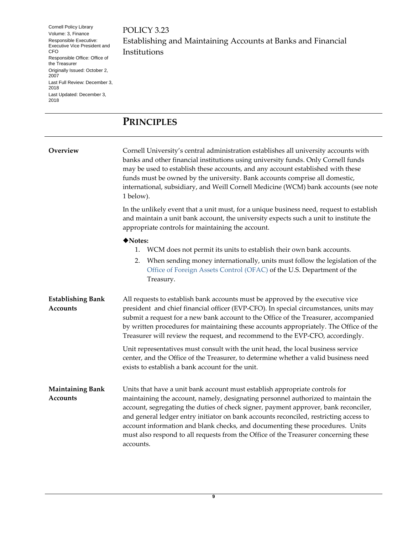POLICY 3.23 Establishing and Maintaining Accounts at Banks and Financial Institutions

## <span id="page-8-0"></span>**PRINCIPLES**

<span id="page-8-1"></span>**Overview Cornell University's central administration establishes all university accounts with** banks and other financial institutions using university funds. Only Cornell funds may be used to establish these accounts, and any account established with these funds must be owned by the university. Bank accounts comprise all domestic, international, subsidiary, and Weill Cornell Medicine (WCM) bank accounts (see note 1 below).

> In the unlikely event that a unit must, for a unique business need, request to establish and maintain a unit bank account, the university expects such a unit to institute the appropriate controls for maintaining the account.

#### ◆Notes:

- 1. WCM does not permit its units to establish their own bank accounts.
- 2. When sending money internationally, units must follow the legislation of the [Office of Foreign Assets Control](http://www.treasury.gov/resource-center/sanctions/Programs/Pages/Programs.aspx) (OFAC) of the U.S. Department of the Treasury.

<span id="page-8-2"></span>

| <b>Establishing Bank</b> | All requests to establish bank accounts must be approved by the executive vice        |
|--------------------------|---------------------------------------------------------------------------------------|
| Accounts                 | president and chief financial officer (EVP-CFO). In special circumstances, units may  |
|                          | submit a request for a new bank account to the Office of the Treasurer, accompanied   |
|                          | by written procedures for maintaining these accounts appropriately. The Office of the |
|                          | Treasurer will review the request, and recommend to the EVP-CFO, accordingly.         |
|                          | Unit representatives must consult with the unit head the local business service       |

Unit representatives must consult with the unit head, the local business service center, and the Office of the Treasurer, to determine whether a valid business need exists to establish a bank account for the unit.

<span id="page-8-3"></span>**Maintaining Bank Accounts** Units that have a unit bank account must establish appropriate controls for maintaining the account, namely, designating personnel authorized to maintain the account, segregating the duties of check signer, payment approver, bank reconciler, and general ledger entry initiator on bank accounts reconciled, restricting access to account information and blank checks, and documenting these procedures. Units must also respond to all requests from the Office of the Treasurer concerning these accounts.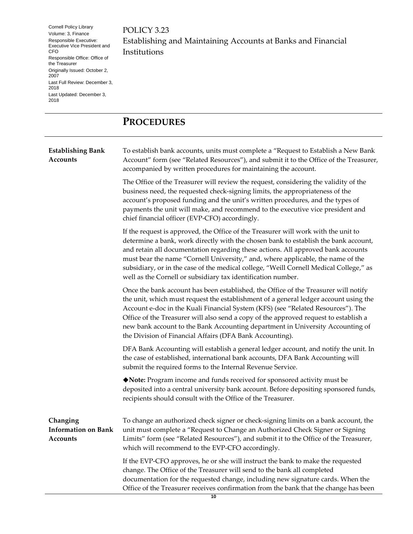POLICY 3.23 Establishing and Maintaining Accounts at Banks and Financial Institutions

## <span id="page-9-0"></span>**PROCEDURES**

<span id="page-9-2"></span><span id="page-9-1"></span>

| <b>Establishing Bank</b><br><b>Accounts</b>        | To establish bank accounts, units must complete a "Request to Establish a New Bank<br>Account" form (see "Related Resources"), and submit it to the Office of the Treasurer,<br>accompanied by written procedures for maintaining the account.                                                                                                                                                                                                                                                             |
|----------------------------------------------------|------------------------------------------------------------------------------------------------------------------------------------------------------------------------------------------------------------------------------------------------------------------------------------------------------------------------------------------------------------------------------------------------------------------------------------------------------------------------------------------------------------|
|                                                    | The Office of the Treasurer will review the request, considering the validity of the<br>business need, the requested check-signing limits, the appropriateness of the<br>account's proposed funding and the unit's written procedures, and the types of<br>payments the unit will make, and recommend to the executive vice president and<br>chief financial officer (EVP-CFO) accordingly.                                                                                                                |
|                                                    | If the request is approved, the Office of the Treasurer will work with the unit to<br>determine a bank, work directly with the chosen bank to establish the bank account,<br>and retain all documentation regarding these actions. All approved bank accounts<br>must bear the name "Cornell University," and, where applicable, the name of the<br>subsidiary, or in the case of the medical college, "Weill Cornell Medical College," as<br>well as the Cornell or subsidiary tax identification number. |
|                                                    | Once the bank account has been established, the Office of the Treasurer will notify<br>the unit, which must request the establishment of a general ledger account using the<br>Account e-doc in the Kuali Financial System (KFS) (see "Related Resources"). The<br>Office of the Treasurer will also send a copy of the approved request to establish a<br>new bank account to the Bank Accounting department in University Accounting of<br>the Division of Financial Affairs (DFA Bank Accounting).      |
|                                                    | DFA Bank Accounting will establish a general ledger account, and notify the unit. In<br>the case of established, international bank accounts, DFA Bank Accounting will<br>submit the required forms to the Internal Revenue Service.                                                                                                                                                                                                                                                                       |
|                                                    | ◆ Note: Program income and funds received for sponsored activity must be<br>deposited into a central university bank account. Before depositing sponsored funds,<br>recipients should consult with the Office of the Treasurer.                                                                                                                                                                                                                                                                            |
| Changing<br><b>Information on Bank</b><br>Accounts | To change an authorized check signer or check-signing limits on a bank account, the<br>unit must complete a "Request to Change an Authorized Check Signer or Signing<br>Limits" form (see "Related Resources"), and submit it to the Office of the Treasurer,<br>which will recommend to the EVP-CFO accordingly.                                                                                                                                                                                          |
|                                                    | If the EVP-CFO approves, he or she will instruct the bank to make the requested<br>change. The Office of the Treasurer will send to the bank all completed<br>documentation for the requested change, including new signature cards. When the<br>Office of the Treasurer receives confirmation from the bank that the change has been                                                                                                                                                                      |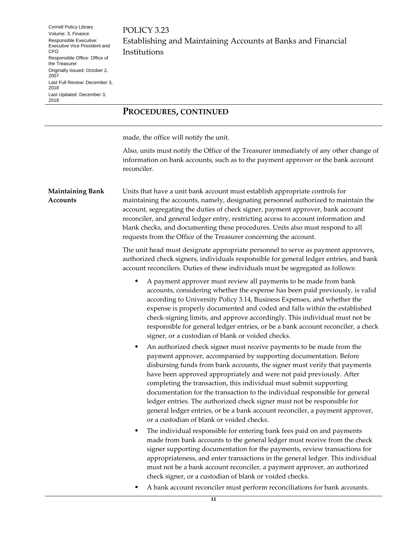POLICY 3.23 Establishing and Maintaining Accounts at Banks and Financial Institutions

#### **PROCEDURES, CONTINUED**

made, the office will notify the unit.

Also, units must notify the Office of the Treasurer immediately of any other change of information on bank accounts, such as to the payment approver or the bank account reconciler.

<span id="page-10-0"></span>**Maintaining Bank Accounts** Units that have a unit bank account must establish appropriate controls for maintaining the accounts, namely, designating personnel authorized to maintain the account, segregating the duties of check signer, payment approver, bank account reconciler, and general ledger entry, restricting access to account information and blank checks, and documenting these procedures. Units also must respond to all requests from the Office of the Treasurer concerning the account.

> The unit head must designate appropriate personnel to serve as payment approvers, authorized check signers, individuals responsible for general ledger entries, and bank account reconcilers. Duties of these individuals must be segregated as follows:

- A payment approver must review all payments to be made from bank accounts, considering whether the expense has been paid previously, is valid according to University Policy 3.14, Business Expenses, and whether the expense is properly documented and coded and falls within the established check-signing limits, and approve accordingly. This individual must not be responsible for general ledger entries, or be a bank account reconciler, a check signer, or a custodian of blank or voided checks.
- An authorized check signer must receive payments to be made from the payment approver, accompanied by supporting documentation. Before disbursing funds from bank accounts, the signer must verify that payments have been approved appropriately and were not paid previously. After completing the transaction, this individual must submit supporting documentation for the transaction to the individual responsible for general ledger entries. The authorized check signer must not be responsible for general ledger entries, or be a bank account reconciler, a payment approver, or a custodian of blank or voided checks.
- The individual responsible for entering bank fees paid on and payments made from bank accounts to the general ledger must receive from the check signer supporting documentation for the payments, review transactions for appropriateness, and enter transactions in the general ledger. This individual must not be a bank account reconciler, a payment approver, an authorized check signer, or a custodian of blank or voided checks.
- A bank account reconciler must perform reconciliations for bank accounts.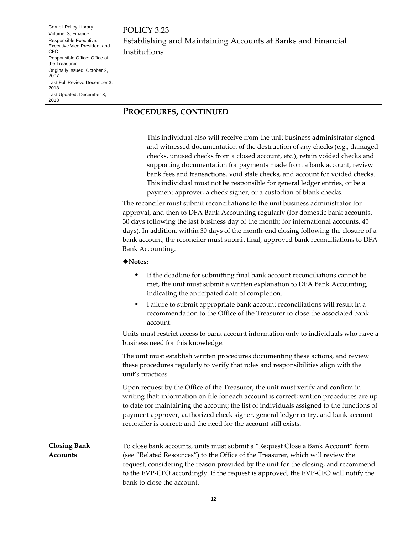POLICY 3.23 Establishing and Maintaining Accounts at Banks and Financial Institutions

#### **PROCEDURES, CONTINUED**

This individual also will receive from the unit business administrator signed and witnessed documentation of the destruction of any checks (e.g., damaged checks, unused checks from a closed account, etc.), retain voided checks and supporting documentation for payments made from a bank account, review bank fees and transactions, void stale checks, and account for voided checks. This individual must not be responsible for general ledger entries, or be a payment approver, a check signer, or a custodian of blank checks.

The reconciler must submit reconciliations to the unit business administrator for approval, and then to DFA Bank Accounting regularly (for domestic bank accounts, 30 days following the last business day of the month; for international accounts, 45 days). In addition, within 30 days of the month-end closing following the closure of a bank account, the reconciler must submit final, approved bank reconciliations to DFA Bank Accounting.

#### ◆Notes:

- If the deadline for submitting final bank account reconciliations cannot be met, the unit must submit a written explanation to DFA Bank Accounting, indicating the anticipated date of completion.
- Failure to submit appropriate bank account reconciliations will result in a recommendation to the Office of the Treasurer to close the associated bank account.

Units must restrict access to bank account information only to individuals who have a business need for this knowledge.

The unit must establish written procedures documenting these actions, and review these procedures regularly to verify that roles and responsibilities align with the unit's practices.

Upon request by the Office of the Treasurer, the unit must verify and confirm in writing that: information on file for each account is correct; written procedures are up to date for maintaining the account; the list of individuals assigned to the functions of payment approver, authorized check signer, general ledger entry, and bank account reconciler is correct; and the need for the account still exists.

<span id="page-11-0"></span>**Closing Bank Accounts** To close bank accounts, units must submit a "Request Close a Bank Account" form (see "Related Resources") to the Office of the Treasurer, which will review the request, considering the reason provided by the unit for the closing, and recommend to the EVP-CFO accordingly. If the request is approved, the EVP-CFO will notify the bank to close the account.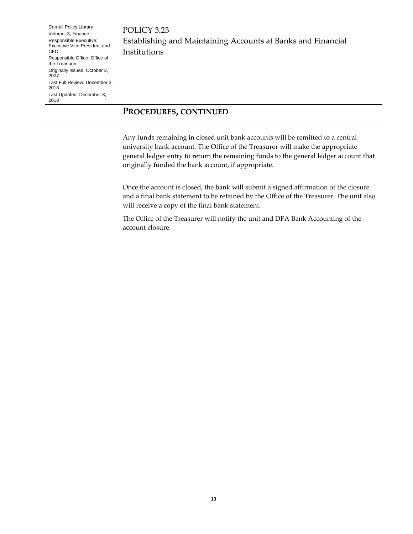POLICY 3.23 Establishing and Maintaining Accounts at Banks and Financial Institutions

#### **PROCEDURES, CONTINUED**

Any funds remaining in closed unit bank accounts will be remitted to a central university bank account. The Office of the Treasurer will make the appropriate general ledger entry to return the remaining funds to the general ledger account that originally funded the bank account, if appropriate.

Once the account is closed, the bank will submit a signed affirmation of the closure and a final bank statement to be retained by the Office of the Treasurer. The unit also will receive a copy of the final bank statement.

The Office of the Treasurer will notify the unit and DFA Bank Accounting of the account closure.